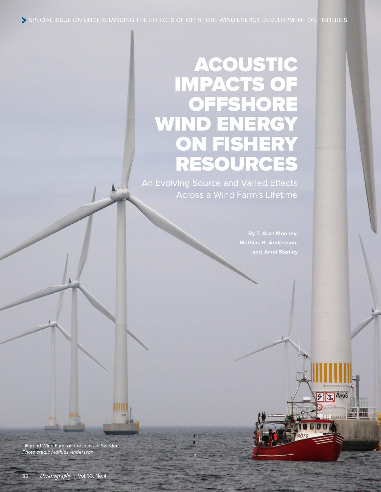# ACOUSTIC IMPACTS OF OFFSHORE WIND ENERGY ON FISHERY RESOURCES

An Evolving Source and Varied Effects Across a Wind Farm's Lifetime

**and Jenni Stanley**

 $51 - A$ 

Lillgrund Wind Farm off the coast of Sweden. *Photo credit: Mathias Andersson*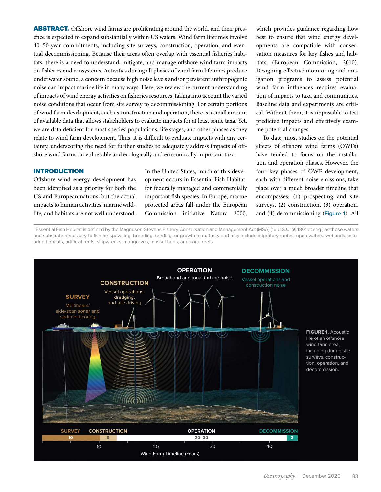ABSTRACT. Offshore wind farms are proliferating around the world, and their presence is expected to expand substantially within US waters. Wind farm lifetimes involve 40–50-year commitments, including site surveys, construction, operation, and eventual decommissioning. Because their areas often overlap with essential fisheries habitats, there is a need to understand, mitigate, and manage offshore wind farm impacts on fisheries and ecosystems. Activities during all phases of wind farm lifetimes produce underwater sound, a concern because high noise levels and/or persistent anthropogenic noise can impact marine life in many ways. Here, we review the current understanding of impacts of wind energy activities on fisheries resources, taking into account the varied noise conditions that occur from site survey to decommissioning. For certain portions of wind farm development, such as construction and operation, there is a small amount of available data that allows stakeholders to evaluate impacts for at least some taxa. Yet, we are data deficient for most species' populations, life stages, and other phases as they relate to wind farm development. Thus, it is difficult to evaluate impacts with any certainty, underscoring the need for further studies to adequately address impacts of offshore wind farms on vulnerable and ecologically and economically important taxa.

### INTRODUCTION

Offshore wind energy development has been identified as a priority for both the US and European nations, but the actual impacts to human activities, marine wildlife, and habitats are not well understood. In the United States, much of this development occurs in Essential Fish Habitat<sup>1</sup> for federally managed and commercially important fish species. In Europe, marine protected areas fall under the European Commission initiative Natura 2000, which provides guidance regarding how best to ensure that wind energy developments are compatible with conservation measures for key fishes and habitats (European Commission, 2010). Designing effective monitoring and mitigation programs to assess potential wind farm influences requires evaluation of impacts to taxa and communities. Baseline data and experiments are critical. Without them, it is impossible to test predicted impacts and effectively examine potential changes.

To date, most studies on the potential effects of offshore wind farms (OWFs) have tended to focus on the installation and operation phases. However, the four key phases of OWF development, each with different noise emissions, take place over a much broader timeline that encompasses: (1) prospecting and site surveys, (2) construction, (3) operation, and (4) decommissioning (**Figure 1**). All

1 Essential Fish Habitat is defined by the Magnuson-Stevens Fishery Conservation and Management Act (MSA) (16 U.S.C. §§ 1801 et seq.) as those waters and substrate necessary to fish for spawning, breeding, feeding, or growth to maturity and may include migratory routes, open waters, wetlands, estuarine habitats, artificial reefs, shipwrecks, mangroves, mussel beds, and coral reefs.

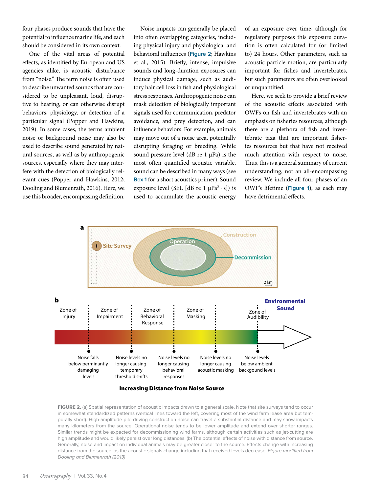four phases produce sounds that have the potential to influence marine life, and each should be considered in its own context.

One of the vital areas of potential effects, as identified by European and US agencies alike, is acoustic disturbance from "noise." The term noise is often used to describe unwanted sounds that are considered to be unpleasant, loud, disruptive to hearing, or can otherwise disrupt behaviors, physiology, or detection of a particular signal (Popper and Hawkins, 2019). In some cases, the terms ambient noise or background noise may also be used to describe sound generated by natural sources, as well as by anthropogenic sources, especially where they may interfere with the detection of biologically relevant cues (Popper and Hawkins, 2012; Dooling and Blumenrath, 2016). Here, we use this broader, encompassing definition.

Noise impacts can generally be placed into often overlapping categories, including physical injury and physiological and behavioral influences (**Figure 2**; Hawkins et al., 2015). Briefly, intense, impulsive sounds and long-duration exposures can induce physical damage, such as auditory hair cell loss in fish and physiological stress responses. Anthropogenic noise can mask detection of biologically important signals used for communication, predator avoidance, and prey detection, and can influence behaviors. For example, animals may move out of a noise area, potentially disrupting foraging or breeding. While sound pressure level (dB re  $1 \mu Pa$ ) is the most often quantified acoustic variable, sound can be described in many ways (see **Box 1** for a short acoustics primer). Sound exposure level (SEL [dB re 1  $\mu$ Pa<sup>2</sup> · s]) is used to accumulate the acoustic energy of an exposure over time, although for regulatory purposes this exposure duration is often calculated for (or limited to) 24 hours. Other parameters, such as acoustic particle motion, are particularly important for fishes and invertebrates, but such parameters are often overlooked or unquantified.

Here, we seek to provide a brief review of the acoustic effects associated with OWFs on fish and invertebrates with an emphasis on fisheries resources, although there are a plethora of fish and invertebrate taxa that are important fisheries resources but that have not received much attention with respect to noise. Thus, this is a general summary of current understanding, not an all-encompassing review. We include all four phases of an OWF's lifetime (**Figure 1**), as each may have detrimental effects.



Increasing Distance from Noise Source

FIGURE 2. (a) Spatial representation of acoustic impacts drawn to a general scale. Note that site surveys tend to occur in somewhat standardized patterns (vertical lines toward the left, covering most of the wind farm lease area but temporally short). High-amplitude pile-driving construction noise can travel a substantial distance and may show impacts many kilometers from the source. Operational noise tends to be lower amplitude and extend over shorter ranges. Similar trends might be expected for decommissioning wind farms, although certain activities such as jet-cutting are high amplitude and would likely persist over long distances. (b) The potential effects of noise with distance from source. Generally, noise and impact on individual animals may be greater closer to the source. Effects change with increasing distance from the source, as the acoustic signals change including that received levels decrease. *Figure modified from Dooling and Blumenrath (2013)*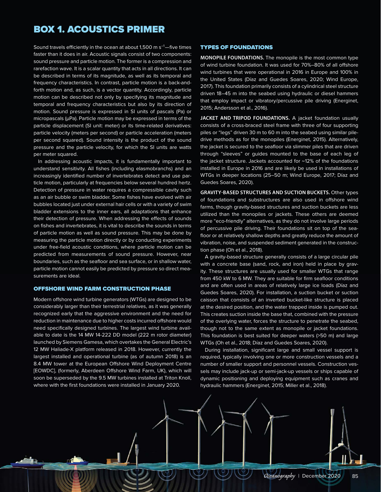# BOX 1. ACOUSTICS PRIMER

Sound travels efficiently in the ocean at about 1,500 m  $s^{-1}$ —five times faster than it does in air. Acoustic signals consist of two components: sound pressure and particle motion. The former is a compression and rarefaction wave. It is a scalar quantity that acts in all directions. It can be described in terms of its magnitude, as well as its temporal and frequency characteristics. In contrast, particle motion is a back-andforth motion and, as such, is a vector quantity. Accordingly, particle motion can be described not only by specifying its magnitude and temporal and frequency characteristics but also by its direction of motion. Sound pressure is expressed in SI units of pascals (Pa) or micropascals (μPa). Particle motion may be expressed in terms of the particle displacement (SI unit: meter) or its time-related derivatives: particle velocity (meters per second) or particle acceleration (meters per second squared). Sound intensity is the product of the sound pressure and the particle velocity, for which the SI units are watts per meter squared.

In addressing acoustic impacts, it is fundamentally important to understand sensitivity. All fishes (including elasmobranchs) and an increasingly identified number of invertebrates detect and use particle motion, particularly at frequencies below several hundred hertz. Detection of pressure in water requires a compressible cavity such as an air bubble or swim bladder. Some fishes have evolved with air bubbles located just under external hair cells or with a variety of swim bladder extensions to the inner ears, all adaptations that enhance their detection of pressure. When addressing the effects of sounds on fishes and invertebrates, it is vital to describe the sounds in terms of particle motion as well as sound pressure. This may be done by measuring the particle motion directly or by conducting experiments under free-field acoustic conditions, where particle motion can be predicted from measurements of sound pressure. However, near boundaries, such as the seafloor and sea surface, or in shallow water, particle motion cannot easily be predicted by pressure so direct measurements are ideal.

#### OFFSHORE WIND FARM CONSTRUCTION PHASE

Modern offshore wind turbine generators (WTGs) are designed to be considerably larger than their terrestrial relatives, as it was generally recognized early that the aggressive environment and the need for reduction in maintenance due to higher costs incurred offshore would need specifically designed turbines. The largest wind turbine available to date is the 14 MW 14-222 DD model (222 m rotor diameter) launched by Siemens Gamesa, which overtakes the General Electric's 12 MW Haliade-X platform released in 2018. However, currently the largest installed and operational turbine (as of autumn 2018) is an 8.4 MW tower at the European Offshore Wind Deployment Centre [EOWDC], (formerly, Aberdeen Offshore Wind Farm, UK), which will soon be superseded by the 9.5 MW turbines installed at Triton Knoll, where with the first foundations were installed in January 2020.

#### TYPES OF FOUNDATIONS

**MONOPILE FOUNDATIONS.** The monopile is the most common type of wind turbine foundation. It was used for 70%–80% of all offshore wind turbines that were operational in 2016 in Europe and 100% in the United States (Díaz and Guedes Soares, 2020; Wind Europe, 2017). This foundation primarily consists of a cylindrical steel structure driven 18–45 m into the seabed using hydraulic or diesel hammers that employ impact or vibratory/percussive pile driving (Energinet, 2015; Andersson et al., 2016).

JACKET AND TRIPOD FOUNDATIONS. A jacket foundation usually consists of a cross-braced steel frame with three of four supporting piles or "legs" driven 30 m to 60 m into the seabed using similar piledrive methods as for the monopiles (Energinet, 2015). Alternatively, the jacket is secured to the seafloor via slimmer piles that are driven through "sleeves" or guides mounted to the base of each leg of the jacket structure. Jackets accounted for ~12% of the foundations installed in Europe in 2016 and are likely be used in installations of WTGs in deeper locations (25–50 m; Wind Europe, 2017; Díaz and Guedes Soares, 2020).

**GRAVITY-BASED STRUCTURES AND SUCTION BUCKETS.** Other types of foundations and substructures are also used in offshore wind farms, though gravity-based structures and suction buckets are less utilized than the monopiles or jackets. These others are deemed more "eco-friendly" alternatives, as they do not involve large periods of percussive pile driving. Their foundations sit on top of the seafloor or at relatively shallow depths and greatly reduce the amount of vibration, noise, and suspended sediment generated in the construction phase (Oh et al., 2018).

A gravity-based structure generally consists of a large circular pile with a concrete base (sand, rock, and iron) held in place by gravity. These structures are usually used for smaller WTGs that range from 450 kW to 6 MW. They are suitable for firm seafloor conditions and are often used in areas of relatively large ice loads (Díaz and Guedes Soares, 2020). For installation, a suction bucket or suction caisson that consists of an inverted bucket-like structure is placed at the desired position, and the water trapped inside is pumped out. This creates suction inside the base that, combined with the pressure of the overlying water, forces the structure to penetrate the seabed, though not to the same extent as monopile or jacket foundations. This foundation is best suited for deeper waters (>50 m) and large WTGs (Oh et al., 2018; Díaz and Guedes Soares, 2020).

During installation, significant large and small vessel support is required, typically involving one or more construction vessels and a number of smaller support and personnel vessels. Construction vessels may include jack-up or semi-jack-up vessels or ships capable of dynamic positioning and deploying equipment such as cranes and hydraulic hammers (Energinet, 2015; Miller et al., 2018).

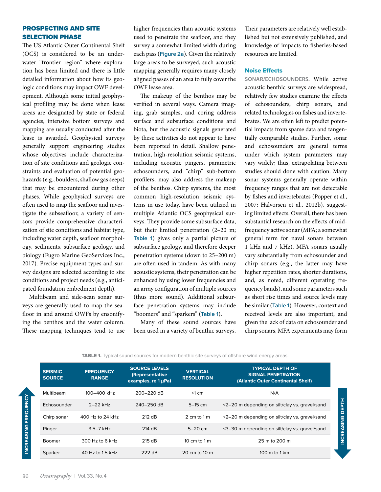## PROSPECTING AND SITE SELECTION PHASE

The US Atlantic Outer Continental Shelf (OCS) is considered to be an underwater "frontier region" where exploration has been limited and there is little detailed information about how its geologic conditions may impact OWF development. Although some initial geophysical profiling may be done when lease areas are designated by state or federal agencies, intensive bottom surveys and mapping are usually conducted after the lease is awarded. Geophysical surveys generally support engineering studies whose objectives include characterization of site conditions and geologic constraints and evaluation of potential geohazards (e.g., boulders, shallow gas seeps) that may be encountered during other phases. While geophysical surveys are often used to map the seafloor and investigate the subseafloor, a variety of sensors provide comprehensive characterization of site conditions and habitat type, including water depth, seafloor morphology, sediments, subsurface geology, and biology (Fugro Marine GeoServices Inc., 2017). Precise equipment types and survey designs are selected according to site conditions and project needs (e.g., anticipated foundation embedment depth).

Multibeam and side-scan sonar surveys are generally used to map the seafloor in and around OWFs by ensonifying the benthos and the water column. These mapping techniques tend to use higher frequencies than acoustic systems used to penetrate the seafloor, and they survey a somewhat limited width during each pass (**Figure 2a**). Given the relatively large areas to be surveyed, such acoustic mapping generally requires many closely aligned passes of an area to fully cover the OWF lease area.

The makeup of the benthos may be verified in several ways. Camera imaging, grab samples, and coring address surface and subsurface conditions and biota, but the acoustic signals generated by these activities do not appear to have been reported in detail. Shallow penetration, high-resolution seismic systems, including acoustic pingers, parametric echosounders, and "chirp" sub-bottom profilers, may also address the makeup of the benthos. Chirp systems, the most common high-resolution seismic systems in use today, have been utilized in multiple Atlantic OCS geophysical surveys. They provide some subsurface data, but their limited penetration (2–20 m; **Table 1**) gives only a partial picture of subsurface geology, and therefore deeper penetration systems (down to 25–200 m) are often used in tandem. As with many acoustic systems, their penetration can be enhanced by using lower frequencies and an array configuration of multiple sources (thus more sound). Additional subsurface penetration systems may include "boomers" and "sparkers" (**Table 1**).

Many of these sound sources have been used in a variety of benthic surveys. Their parameters are relatively well established but not extensively published, and knowledge of impacts to fisheries-based resources are limited.

#### Noise Effects

**SONAR/ECHOSOUNDERS.** While active acoustic benthic surveys are widespread, relatively few studies examine the effects of echosounders, chirp sonars, and related technologies on fishes and invertebrates. We are often left to predict potential impacts from sparse data and tangentially comparable studies. Further, sonar and echosounders are general terms under which system parameters may vary widely; thus, extrapolating between studies should done with caution. Many sonar systems generally operate within frequency ranges that are not detectable by fishes and invertebrates (Popper et al., 2007; Halvorsen et al., 2012b), suggesting limited effects. Overall, there has been substantial research on the effects of midfrequency active sonar (MFA; a somewhat general term for naval sonars between 1 kHz and 7 kHz). MFA sonars usually vary substantially from echosounder and chirp sonars (e.g., the latter may have higher repetition rates, shorter durations, and, as noted, different operating frequency bands), and some parameters such as short rise times and source levels may be similar (**Table 1**). However, context and received levels are also important, and given the lack of data on echosounder and chirp sonars, MFA experiments may form

TABLE 1. Typical sound sources for modern benthic site surveys of offshore wind energy areas.

| <b>SEISMIC</b><br><b>SOURCE</b> | <b>FREQUENCY</b><br><b>RANGE</b> | <b>SOURCE LEVELS</b><br>(Representative<br>examples, re 1 µPa) | <b>VERTICAL</b><br><b>RESOLUTION</b> | <b>TYPICAL DEPTH OF</b><br><b>SIGNAL PENETRATION</b><br>(Atlantic Outer Continental Shelf) |
|---------------------------------|----------------------------------|----------------------------------------------------------------|--------------------------------------|--------------------------------------------------------------------------------------------|
| Multibeam                       | 100-400 kHz                      | 200-220 dB                                                     | $<1$ cm                              | N/A                                                                                        |
| Echosounder                     | $2-22$ kHz                       | 240-250 dB                                                     | $5-15$ cm                            | <2-20 m depending on silt/clay vs. gravel/sand                                             |
| Chirp sonar                     | 400 Hz to 24 kHz                 | 212 dB                                                         | $2 \text{ cm}$ to $1 \text{ m}$      | <2-20 m depending on silt/clay vs. gravel/sand                                             |
| Pinger                          | $3.5 - 7$ kHz                    | 214 dB                                                         | $5-20$ cm                            | <3-30 m depending on silt/clay vs. gravel/sand                                             |
| Boomer                          | $300$ Hz to 6 kHz                | 215 dB                                                         | 10 cm to $1m$                        | 25 m to 200 m                                                                              |
| Sparker                         | 40 Hz to 1.5 kHz                 | 222 dB                                                         | 20 cm to 10 m                        | $100 \text{ m}$ to $1 \text{ km}$                                                          |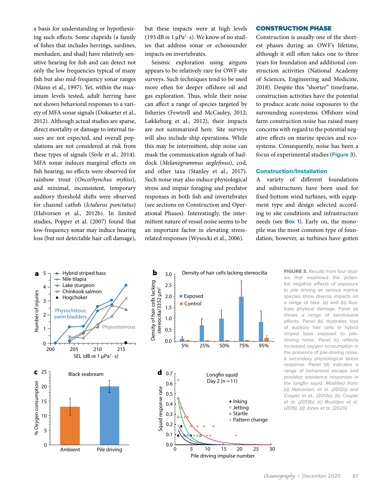a basis for understanding or hypothesizing such effects. Some clupeids (a family of fishes that includes herrings, sardines, menhaden, and shad) have relatively sensitive hearing for fish and can detect not only the low frequencies typical of many fish but also mid-frequency sonar ranges (Mann et al., 1997). Yet, within the maximum levels tested, adult herring have not shown behavioral responses to a variety of MFA sonar signals (Doksæter et al., 2012). Although actual studies are sparse, direct mortality or damage to internal tissues are not expected, and overall populations are not considered at risk from these types of signals (Sivle et al., 2014). MFA sonar induces marginal effects on fish hearing; no effects were observed for rainbow trout (*Oncorhynchus mykiss*), and minimal, inconsistent, temporary auditory threshold shifts were observed for channel catfish (*Ictalurus punctatus*) (Halvorsen et al., 2012b). In limited studies, Popper et al. (2007) found that low-frequency sonar may induce hearing loss (but not detectable hair cell damage), but these impacts were at high levels (193 dB re 1  $\mu$ Pa<sup>2</sup>·s). We know of no studies that address sonar or echosounder impacts on invertebrates.

Seismic exploration using airguns appears to be relatively rare for OWF site surveys. Such techniques tend to be used more often for deeper offshore oil and gas exploration. Thus, while their noise can affect a range of species targeted by fisheries (Fewtrell and McCauley, 2012; Løkkeborg et al., 2012), their impacts are not summarized here. Site surveys will also include ship operations. While this may be intermittent, ship noise can mask the communication signals of haddock (*Melanogrammus aeglefinus*), cod, and other taxa (Stanley et al., 2017). Such noise may also induce physiological stress and impair foraging and predator responses in both fish and invertebrates (see sections on Construction and Operational Phases). Interestingly, the intermittent nature of vessel noise seems to be an important factor in elevating stressrelated responses (Wysocki et al., 2006).

## CONSTRUCTION PHASE

Construction is usually one of the shortest phases during an OWF's lifetime, although it still often takes one to three years for foundation and additional construction activities (National Academy of Sciences, Engineering and Medicine, 2018). Despite this "shorter" timeframe, construction activities have the potential to produce acute noise exposures to the surrounding ecosystems. Offshore wind farm construction noise has raised many concerns with regard to the potential negative effects on marine species and ecosystems. Consequently, noise has been a focus of experimental studies (**Figure 3**).

#### Construction/Installation

A variety of different foundations and substructures have been used for fixed-bottom wind turbines, with equipment type and design selected according to site conditions and infrastructure needs (see **Box 1**). Early on, the monopile was the most common type of foundation; however, as turbines have gotten



FIGURE 3. Results from four studies that examined the potential negative effects of exposure to pile driving on various marine species show diverse impacts on a range of taxa. (a) and (b) illustrate physical damage. Panel (a) shows a range of barotrauma effects. Panel (b) illustrates loss of auditory hair cells in hybrid striped bass exposed to piledriving noise. Panel (c) reflects increased oxygen consumption in the presence of pile-driving noise, a secondary physiological stress response. Panel (d) indicates a range of behavioral escape and predator avoidance responses in the longfin squid. *Modified from: (a) Halvorsen, et al. (2012a) and Casper et al., (2013a). (b) Casper et al. (2013b). (c) Bruintjes et al. (2016). (d) Jones et al. (2020).*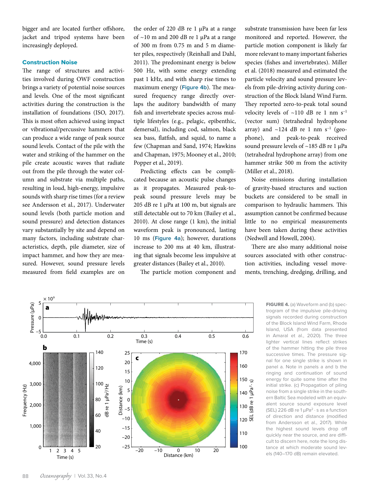bigger and are located further offshore, jacket and tripod systems have been increasingly deployed.

## Construction Noise

The range of structures and activities involved during OWF construction brings a variety of potential noise sources and levels. One of the most significant activities during the construction is the installation of foundations (ISO, 2017). This is most often achieved using impact or vibrational/percussive hammers that can produce a wide range of peak source sound levels. Contact of the pile with the water and striking of the hammer on the pile create acoustic waves that radiate out from the pile through the water column and substrate via multiple paths, resulting in loud, high-energy, impulsive sounds with sharp rise times (for a review see Andersson et al., 2017). Underwater sound levels (both particle motion and sound pressure) and detection distances vary substantially by site and depend on many factors, including substrate characteristics, depth, pile diameter, size of impact hammer, and how they are measured. However, sound pressure levels measured from field examples are on

the order of 220 dB re 1 μPa at a range of ~10 m and 200 dB re 1 μPa at a range of 300 m from 0.75 m and 5 m diameter piles, respectively (Reinhall and Dahl, 2011). The predominant energy is below 500 Hz, with some energy extending past 1 kHz, and with sharp rise times to maximum energy (**Figure 4b**). The measured frequency range directly overlaps the auditory bandwidth of many fish and invertebrate species across multiple lifestyles (e.g., pelagic, epibenthic, demersal), including cod, salmon, black sea bass, flatfish, and squid, to name a few (Chapman and Sand, 1974; Hawkins and Chapman, 1975; Mooney et al., 2010; Popper et al., 2019).

Predicting effects can be complicated because an acoustic pulse changes as it propagates. Measured peak-topeak sound pressure levels may be 205 dB re 1 μPa at 100 m, but signals are still detectable out to 70 km (Bailey et al., 2010). At close range (1 km), the initial waveform peak is pronounced, lasting 10 ms (**Figure 4a**); however, durations increase to 200 ms at 40 km, illustrating that signals become less impulsive at greater distances (Bailey et al., 2010).

The particle motion component and

substrate transmission have been far less monitored and reported. However, the particle motion component is likely far more relevant to many important fisheries species (fishes and invertebrates). Miller et al. (2018) measured and estimated the particle velocity and sound pressure levels from pile-driving activity during construction of the Block Island Wind Farm. They reported zero-to-peak total sound velocity levels of  $\sim$ 110 dB re 1 nm s<sup>-1</sup> (vector sum) (tetrahedral hydrophone array) and  $\sim$ 124 dB re 1 nm s<sup>-1</sup> (geophone), and peak-to-peak received sound pressure levels of ~185 dB re 1 μPa (tetrahedral hydrophone array) from one hammer strike 500 m from the activity (Miller et al., 2018).

Noise emissions during installation of gravity-based structures and suction buckets are considered to be small in comparison to hydraulic hammers. This assumption cannot be confirmed because little to no empirical measurements have been taken during these activities (Nedwell and Howell, 2004).

There are also many additional noise sources associated with other construction activities, including vessel movements, trenching, dredging, drilling, and



FIGURE 4. (a) Waveform and (b) spectrogram of the impulsive pile-driving signals recorded during construction of the Block Island Wind Farm, Rhode Island, USA (from data presented in Amaral et al., 2020). The three lighter vertical lines reflect strikes of the hammer hitting the pile three successive times. The pressure signal for one single strike is shown in panel a. Note in panels a and b the ringing and continuation of sound energy for quite some time after the initial strike. (c) Propagation of piling noise from a single strike in the southern Baltic Sea modeled with an equivalent source sound exposure level (SEL) 226 dB re  $1 \mu Pa^2 \cdot s$  as a function of direction and distance (modified from Andersson et al., 2017). While the highest sound levels drop off quickly near the source, and are difficult to discern here, note the long distance at which moderate sound levels (140–170 dB) remain elevated.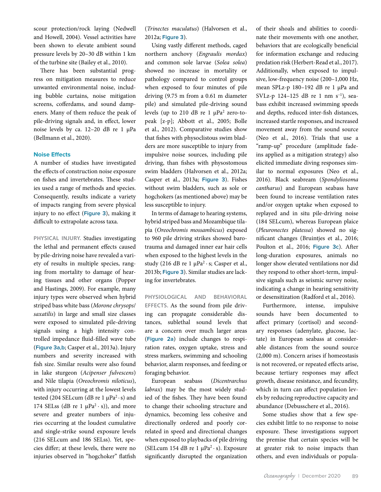scour protection/rock laying (Nedwell and Howell, 2004). Vessel activities have been shown to elevate ambient sound pressure levels by 20–30 dB within 1 km of the turbine site (Bailey et al., 2010).

There has been substantial progress on mitigation measures to reduce unwanted environmental noise, including bubble curtains, noise mitigation screens, cofferdams, and sound dampeners. Many of them reduce the peak of pile-driving signals and, in effect, lower noise levels by ca. 12–20 dB re 1 µPa (Bellmann et al., 2020).

## **Noise Effects**

A number of studies have investigated the effects of construction noise exposure on fishes and invertebrates. These studies used a range of methods and species. Consequently, results indicate a variety of impacts ranging from severe physical injury to no effect (**Figure 3**), making it difficult to extrapolate across taxa.

**PHYSICAL INJURY.** Studies investigating the lethal and permanent effects caused by pile-driving noise have revealed a variety of results in multiple species, ranging from mortality to damage of hearing tissues and other organs (Popper and Hastings, 2009). For example, many injury types were observed when hybrid striped bass white bass (*Morone chrysops*/ *saxatilis*) in large and small size classes were exposed to simulated pile-driving signals using a high intensity controlled impedance fluid-filled wave tube (**Figure 3a,b**; Casper et al., 2013a). Injury numbers and severity increased with fish size. Similar results were also found in lake sturgeon (*Acipenser fulvescens*) and Nile tilapia (*Oreochromis niloticus*), with injury occurring at the lowest levels tested (204 SELcum (dB re 1  $\mu$ Pa<sup>2</sup> · s) and 174 SELss (dB re 1  $\mu$ Pa<sup>2</sup> · s)), and more severe and greater numbers of injuries occurring at the loudest cumulative and single-strike sound exposure levels (216 SELcum and 186 SELss). Yet, species differ; at these levels, there were no injuries observed in "hogchoker" flatfish

(*Trinectes maculatus*) (Halvorsen et al., 2012a; **Figure 3**).

Using vastly different methods, caged northern anchovy (*Engraulis mordax*) and common sole larvae (*Solea solea*) showed no increase in mortality or pathology compared to control groups when exposed to four minutes of pile driving (9.75 m from a 0.61 m diameter pile) and simulated pile-driving sound levels (up to 210 dB re 1  $\mu$ Pa<sup>2</sup> zero-topeak [z-p]; Abbott et al., 2005; Bolle et al., 2012). Comparative studies show that fishes with physoclistous swim bladders are more susceptible to injury from impulsive noise sources, including pile driving, than fishes with physostomous swim bladders (Halvorsen et al., 2012a; Casper et al., 2013a; **Figure 3**). Fishes without swim bladders, such as sole or hogchokers (as mentioned above) may be less susceptible to injury.

In terms of damage to hearing systems, hybrid striped bass and Mozambique tilapia (*Oreochromis mossambicus*) exposed to 960 pile driving strikes showed barotrauma and damaged inner ear hair cells when exposed to the highest levels in the study (216 dB re 1  $\mu$ Pa<sup>2</sup> · s; Casper et al., 2013b; **Figure 3**). Similar studies are lacking for invertebrates.

**PHYSIOLOGICAL AND BEHAVIORAL EFFECTS.** As the sound from pile driving can propagate considerable distances, sublethal sound levels that are a concern over much larger areas (**Figure 2a**) include changes to respiration rates, oxygen uptake, stress and stress markers, swimming and schooling behavior, alarm responses, and feeding or foraging behavior.

European seabass (*Dicentrarchus labrax*) may be the most widely studied of the fishes. They have been found to change their schooling structure and dynamics, becoming less cohesive and directionally ordered and poorly correlated in speed and directional changes when exposed to playbacks of pile driving (SELcum 154 dB re 1  $\mu$ Pa<sup>2</sup> · s). Exposure significantly disrupted the organization of their shoals and abilities to coordinate their movements with one another, behaviors that are ecologically beneficial for information exchange and reducing predation risk (Herbert-Read et al., 2017). Additionally, when exposed to impulsive, low-frequency noise (200–1,000 Hz, mean SPLz-p 180–192 dB re 1 µPa and SVLz-p  $124-125$  dB re 1 nm s<sup>-1</sup>), seabass exhibit increased swimming speeds and depths, reduced inter-fish distances, increased startle responses, and increased movement away from the sound source (Neo et al., 2016). Trials that use a "ramp-up" procedure (amplitude fadeins applied as a mitigation strategy) also elicited immediate diving responses similar to normal exposures (Neo et al., 2016). Black seabream (*Spondyliosoma cantharus*) and European seabass have been found to increase ventilation rates and/or oxygen uptake when exposed to replayed and in situ pile-driving noise (184 SELcum), whereas European plaice (*Pleuronectes platessa*) showed no significant changes (Bruintjes et al., 2016; Poulton et al., 2016; **Figure 3c**). After long-duration exposures, animals no longer show elevated ventilations nor did they respond to other short-term, impulsive signals such as seismic survey noise, indicating a change in hearing sensitivity or desensitization (Radford et al., 2016).

Furthermore, intense, impulsive sounds have been documented to affect primary (cortisol) and secondary responses (adenylate, glucose, lactate) in European seabass at considerable distances from the sound source (2,000 m). Concern arises if homeostasis is not recovered, or repeated effects arise, because tertiary responses may affect growth, disease resistance, and fecundity, which in turn can affect population levels by reducing reproductive capacity and abundance (Debusschere et al., 2016).

Some studies show that a few species exhibit little to no response to noise exposure. These investigations support the premise that certain species will be at greater risk to noise impacts than others, and even individuals or popula-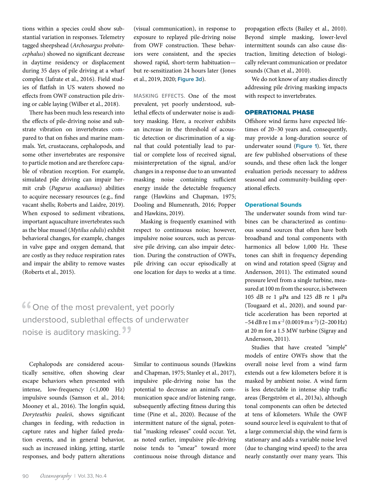tions within a species could show substantial variation in responses. Telemetry tagged sheepshead (*Archosargus probatocephalus*) showed no significant decrease in daytime residency or displacement during 35 days of pile driving at a wharf complex (Iafrate et al., 2016). Field studies of flatfish in US waters showed no effects from OWF construction pile driving or cable laying (Wilber et al., 2018).

There has been much less research into the effects of pile-driving noise and substrate vibration on invertebrates compared to that on fishes and marine mammals. Yet, crustaceans, cephalopods, and some other invertebrates are responsive to particle motion and are therefore capable of vibration reception. For example, simulated pile driving can impair hermit crab (*Pagurus acadianus*) abilities to acquire necessary resources (e.g., find vacant shells; Roberts and Laidre, 2019). When exposed to sediment vibrations, important aquaculture invertebrates such as the blue mussel (*Mytilus edulis*) exhibit behavioral changes, for example, changes in valve gape and oxygen demand, that are costly as they reduce respiration rates and impair the ability to remove wastes (Roberts et al., 2015).

(visual communication), in response to exposure to replayed pile-driving noise from OWF construction. These behaviors were consistent, and the species showed rapid, short-term habituation but re-sensitization 24 hours later (Jones et al., 2019, 2020; **Figure 3d**).

**MASKING EFFECTS.** One of the most prevalent, yet poorly understood, sublethal effects of underwater noise is auditory masking. Here, a receiver exhibits an increase in the threshold of acoustic detection or discrimination of a signal that could potentially lead to partial or complete loss of received signal, misinterpretation of the signal, and/or changes in a response due to an unwanted masking noise containing sufficient energy inside the detectable frequency range (Hawkins and Chapman, 1975; Dooling and Blumenrath, 2016; Popper and Hawkins, 2019).

Masking is frequently examined with respect to continuous noise; however, impulsive noise sources, such as percussive pile driving, can also impair detection. During the construction of OWFs, pile driving can occur episodically at one location for days to weeks at a time.

Cone of the most prevalent, yet poorly<br>understood, sublethal effects of underwa understood, sublethal effects of underwater noise is auditory masking. <sup>??</sup>

Cephalopods are considered acoustically sensitive, often showing clear escape behaviors when presented with intense, low-frequency (<1,000 Hz) impulsive sounds (Samson et al., 2014; Mooney et al., 2016). The longfin squid, *Doryteuthis pealeii*, shows significant changes in feeding, with reduction in capture rates and higher failed predation events, and in general behavior, such as increased inking, jetting, startle responses, and body pattern alterations

Similar to continuous sounds (Hawkins and Chapman, 1975; Stanley et al., 2017), impulsive pile-driving noise has the potential to decrease an animal's communication space and/or listening range, subsequently affecting fitness during this time (Pine et al., 2020). Because of the intermittent nature of the signal, potential "masking releases" could occur. Yet, as noted earlier, impulsive pile-driving noise tends to "smear" toward more continuous noise through distance and

propagation effects (Bailey et al., 2010). Beyond simple masking, lower-level intermittent sounds can also cause distraction, limiting detection of biologically relevant communication or predator sounds (Chan et al., 2010).

We do not know of any studies directly addressing pile driving masking impacts with respect to invertebrates.

## OPERATIONAL PHASE

Offshore wind farms have expected lifetimes of 20–30 years and, consequently, may provide a long-duration source of underwater sound (**Figure 1**). Yet, there are few published observations of these sounds, and these often lack the longer evaluation periods necessary to address seasonal and community-building operational effects.

#### Operational Sounds

The underwater sounds from wind turbines can be characterized as continuous sound sources that often have both broadband and tonal components with harmonics all below 1,000 Hz. These tones can shift in frequency depending on wind and rotation speed (Sigray and Andersson, 2011). The estimated sound pressure level from a single turbine, measured at 100 m from the source, is between 105 dB re 1 μPa and 125 dB re 1 μPa (Tougaard et al., 2020), and sound particle acceleration has been reported at  $-54$  dB re 1 m s<sup>-2</sup> (0.0019 m s<sup>-2</sup>) (2-200 Hz) at 20 m for a 1.5 MW turbine (Sigray and Andersson, 2011).

Studies that have created "simple" models of entire OWFs show that the overall noise level from a wind farm extends out a few kilometers before it is masked by ambient noise. A wind farm is less detectable in intense ship traffic areas (Bergström et al., 2013a), although tonal components can often be detected at tens of kilometers. While the OWF sound source level is equivalent to that of a large commercial ship, the wind farm is stationary and adds a variable noise level (due to changing wind speed) to the area nearly constantly over many years. This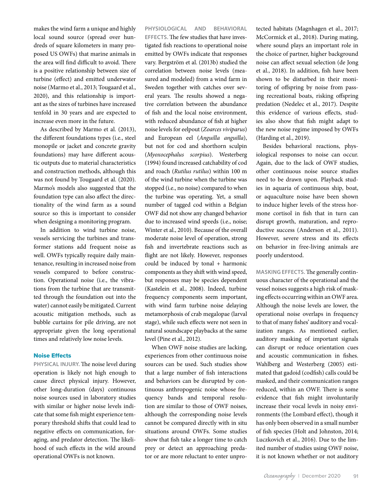makes the wind farm a unique and highly local sound source (spread over hundreds of square kilometers in many proposed US OWFs) that marine animals in the area will find difficult to avoid. There is a positive relationship between size of turbine (effect) and emitted underwater noise (Marmo et al., 2013; Tougaard et al., 2020), and this relationship is important as the sizes of turbines have increased tenfold in 30 years and are expected to increase even more in the future.

As described by Marmo et al. (2013), the different foundations types (i.e., steel monopile or jacket and concrete gravity foundations) may have different acoustic outputs due to material characteristics and construction methods, although this was not found by Tougaard et al. (2020). Marmo's models also suggested that the foundation type can also affect the directionality of the wind farm as a sound source so this is important to consider when designing a monitoring program.

In addition to wind turbine noise, vessels servicing the turbines and transformer stations add frequent noise as well. OWFs typically require daily maintenance, resulting in increased noise from vessels compared to before construction. Operational noise (i.e., the vibrations from the turbine that are transmitted through the foundation out into the water) cannot easily be mitigated. Current acoustic mitigation methods, such as bubble curtains for pile driving, are not appropriate given the long operational times and relatively low noise levels.

#### Noise Effects

**PHYSICAL INJURY.** The noise level during operation is likely not high enough to cause direct physical injury. However, other long-duration (days) continuous noise sources used in laboratory studies with similar or higher noise levels indicate that some fish might experience temporary threshold shifts that could lead to negative effects on communication, foraging, and predator detection. The likelihood of such effects in the wild around operational OWFs is not known.

**PHYSIOLOGICAL AND BEHAVIORAL EFFECTS.** The few studies that have investigated fish reactions to operational noise emitted by OWFs indicate that responses vary. Bergström et al. (2013b) studied the correlation between noise levels (measured and modeled) from a wind farm in Sweden together with catches over several years. The results showed a negative correlation between the abundance of fish and the local noise environment, with reduced abundance of fish at higher noise levels for eelpout (*Zoarces viviparus*) and European eel (*Anguilla anguilla*), but not for cod and shorthorn sculpin (*Myoxocephalus scorpius*). Westerberg (1994) found increased catchability of cod and roach (*Rutilus rutilus*) within 100 m of the wind turbine when the turbine was stopped (i.e., no noise) compared to when the turbine was operating. Yet, a small number of tagged cod within a Belgian OWF did not show any changed behavior due to increased wind speeds (i.e., noise; Winter et al., 2010). Because of the overall moderate noise level of operation, strong fish and invertebrate reactions such as flight are not likely. However, responses could be induced by tonal + harmonic components as they shift with wind speed, but responses may be species dependent (Kastelein et al., 2008). Indeed, turbine frequency components seem important, with wind farm turbine noise delaying metamorphosis of crab megalopae (larval stage), while such effects were not seen in natural soundscape playbacks at the same level (Pine et al., 2012).

When OWF noise studies are lacking, experiences from other continuous noise sources can be used. Such studies show that a large number of fish interactions and behaviors can be disrupted by continuous anthropogenic noise whose frequency bands and temporal resolution are similar to those of OWF noises, although the corresponding noise levels cannot be compared directly with in situ situations around OWFs. Some studies show that fish take a longer time to catch prey or detect an approaching predator or are more reluctant to enter unprotected habitats (Magnhagen et al., 2017; McCormick et al., 2018). During mating, where sound plays an important role in the choice of partner, higher background noise can affect sexual selection (de Jong et al., 2018). In addition, fish have been shown to be disturbed in their monitoring of offspring by noise from passing recreational boats, risking offspring predation (Nedelec et al., 2017). Despite this evidence of various effects, studies also show that fish might adapt to the new noise regime imposed by OWFs (Harding et al., 2019).

Besides behavioral reactions, physiological responses to noise can occur. Again, due to the lack of OWF studies, other continuous noise source studies need to be drawn upon. Playback studies in aquaria of continuous ship, boat, or aquaculture noise have been shown to induce higher levels of the stress hormone cortisol in fish that in turn can disrupt growth, maturation, and reproductive success (Anderson et al., 2011). However, severe stress and its effects on behavior in free-living animals are poorly understood.

**MASKING EFFECTS.** The generally continuous character of the operational and the vessel noises suggests a high risk of masking effects occurring within an OWF area. Although the noise levels are lower, the operational noise overlaps in frequency to that of many fishes' auditory and vocalization ranges. As mentioned earlier, auditory masking of important signals can disrupt or reduce orientation cues and acoustic communication in fishes. Wahlberg and Westerberg (2005) estimated that gadoid (codfish) calls could be masked, and their communication ranges reduced, within an OWF. There is some evidence that fish might involuntarily increase their vocal levels in noisy environments (the Lombard effect), though it has only been observed in a small number of fish species (Holt and Johnston, 2014; Luczkovich et al., 2016). Due to the limited number of studies using OWF noise, it is not known whether or not auditory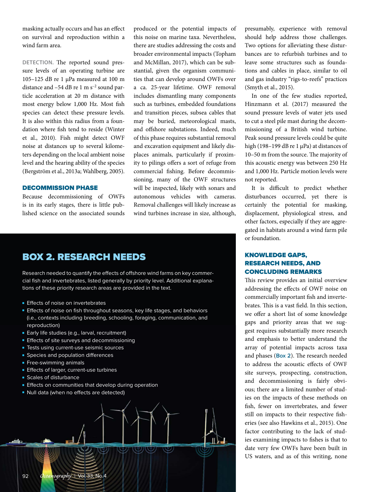masking actually occurs and has an effect on survival and reproduction within a wind farm area.

**DETECTION.** The reported sound pressure levels of an operating turbine are 105–125 dB re 1 μPa measured at 100 m distance and –54 dB re 1 m s<sup>-2</sup> sound particle acceleration at 20 m distance with most energy below 1,000 Hz. Most fish species can detect these pressure levels. It is also within this radius from a foundation where fish tend to reside (Winter et al., 2010). Fish might detect OWF noise at distances up to several kilometers depending on the local ambient noise level and the hearing ability of the species (Bergström et al., 2013a; Wahlberg, 2005).

## DECOMMISSION PHASE

Because decommissioning of OWFs is in its early stages, there is little published science on the associated sounds

produced or the potential impacts of this noise on marine taxa. Nevertheless, there are studies addressing the costs and broader environmental impacts (Topham and McMillan, 2017), which can be substantial, given the organism communities that can develop around OWFs over a ca. 25-year lifetime. OWF removal includes dismantling many components such as turbines, embedded foundations and transition pieces, subsea cables that may be buried, meteorological masts, and offshore substations. Indeed, much of this phase requires substantial removal and excavation equipment and likely displaces animals, particularly if proximity to pilings offers a sort of refuge from commercial fishing. Before decommissioning, many of the OWF structures will be inspected, likely with sonars and autonomous vehicles with cameras. Removal challenges will likely increase as wind turbines increase in size, although,

## BOX 2. RESEARCH NEEDS

Research needed to quantify the effects of offshore wind farms on key commercial fish and invertebrates, listed generally by priority level. Additional explanations of these priority research areas are provided in the text.

- **Effects of noise on invertebrates**
- Effects of noise on fish throughout seasons, key life stages, and behaviors (i.e., contexts including breeding, schooling, foraging, communication, and reproduction)
- Early life studies (e.g., larval, recruitment)
- Effects of site surveys and decommissioning
- Tests using current-use seismic sources
- Species and population differences
- Free-swimming animals
- Effects of larger, current-use turbines
- Scales of disturbance
- Effects on communities that develop during operation
- Null data (when no effects are detected)



presumably, experience with removal should help address those challenges. Two options for alleviating these disturbances are to refurbish turbines and to leave some structures such as foundations and cables in place, similar to oil and gas industry "rigs-to-reefs" practices (Smyth et al., 2015).

In one of the few studies reported, Hinzmann et al. (2017) measured the sound pressure levels of water jets used to cut a steel pile mast during the decommissioning of a British wind turbine. Peak sound pressure levels could be quite high (198-199 dB re 1 µPa) at distances of 10–50 m from the source. The majority of this acoustic energy was between 250 Hz and 1,000 Hz. Particle motion levels were not reported.

It is difficult to predict whether disturbances occurred, yet there is certainly the potential for masking, displacement, physiological stress, and other factors, especially if they are aggregated in habitats around a wind farm pile or foundation.

## KNOWLEDGE GAPS, RESEARCH NEEDS, AND CONCLUDING REMARKS

This review provides an initial overview addressing the effects of OWF noise on commercially important fish and invertebrates. This is a vast field. In this section, we offer a short list of some knowledge gaps and priority areas that we suggest requires substantially more research and emphasis to better understand the array of potential impacts across taxa and phases (**Box 2**). The research needed to address the acoustic effects of OWF site surveys, prospecting, construction, and decommissioning is fairly obvious; there are a limited number of studies on the impacts of these methods on fish, fewer on invertebrates, and fewer still on impacts to their respective fisheries (see also Hawkins et al., 2015). One factor contributing to the lack of studies examining impacts to fishes is that to date very few OWFs have been built in US waters, and as of this writing, none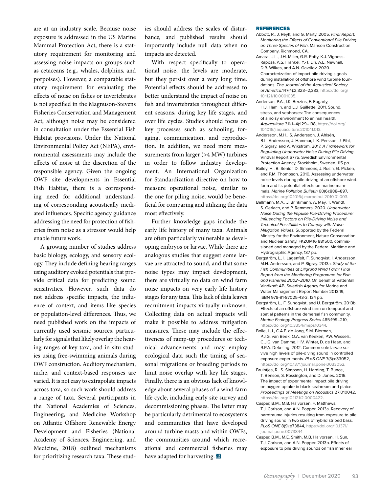are at an industry scale. Because noise exposure is addressed in the US Marine Mammal Protection Act, there is a statutory requirement for monitoring and assessing noise impacts on groups such as cetaceans (e.g., whales, dolphins, and porpoises). However, a comparable statutory requirement for evaluating the effects of noise on fishes or invertebrates is not specified in the Magnuson-Stevens Fisheries Conservation and Management Act, although noise may be considered in consultation under the Essential Fish Habitat provisions. Under the National Environmental Policy Act (NEPA), environmental assessments may include the effects of noise at the discretion of the responsible agency. Given the ongoing OWF site developments in Essential Fish Habitat, there is a corresponding need for additional understanding of corresponding acoustically mediated influences. Specific agency guidance addressing the need for protection of fisheries from noise as a stressor would help enable future work.

A growing number of studies address basic biology, ecology, and sensory ecology. They include defining hearing ranges using auditory evoked potentials that provide critical data for predicting sound sensitivities. However, such data do not address specific impacts, the influence of context, and items like species or population-level differences. Thus, we need published work on the impacts of currently used seismic sources, particularly for signals that likely overlap the hearing ranges of key taxa, and in situ studies using free-swimming animals during OWF construction. Auditory mechanism, niche, and context-based responses are varied. It is not easy to extrapolate impacts across taxa, so such work should address a range of taxa. Several participants in the National Academies of Sciences, Engineering, and Medicine Workshop on Atlantic Offshore Renewable Energy Development and Fisheries (National Academy of Sciences, Engineering, and Medicine, 2018) outlined mechanisms for prioritizing research taxa. These studies should address the scales of disturbance, and published results should importantly include null data when no impacts are detected.

With respect specifically to operational noise, the levels are moderate, but they persist over a very long time. Potential effects should be addressed to better understand the impact of noise on fish and invertebrates throughout different seasons, during key life stages, and over life cycles. Studies should focus on key processes such as schooling, foraging, communication, and reproduction. In addition, we need more measurements from larger (>4 MW) turbines in order to follow industry development. An International Organization for Standardization directive on how to measure operational noise, similar to the one for piling noise, would be beneficial for comparing and utilizing the data most effectively.

Further knowledge gaps include the early life history of many taxa. Animals are often particularly vulnerable as developing embryos or larvae. While there are analogous studies that suggest some larvae are attracted to sound, and that some noise types may impact development, there are virtually no data on wind farm noise impacts on very early life history stages for any taxa. This lack of data leaves recruitment impacts virtually unknown. Collecting data on actual impacts will make it possible to address mitigation measures. These may include the effectiveness of ramp-up procedures or technical advancements and may employ ecological data such the timing of seasonal migrations or breeding periods to limit noise overlap with key life stages. Finally, there is an obvious lack of knowledge about several phases of a wind farm life cycle, including early site survey and decommissioning phases. The latter may be particularly detrimental to ecosystems and communities that have developed around turbine masts and within OWFs, the communities around which recreational and commercial fisheries may have adapted for harvesting.

#### REFERENCES

- Abbott, R., J. Reyff, and G. Marty. 2005. *Final Report: Monitoring the Effects of Conventional Pile Driving on Three Species of Fish*. Manson Construction Company, Richmond, CA.
- Amaral, J.L., J.H. Miller, G.R. Potty, K.J. Vigness-Raposa, A.S. Frankel, Y.-T. Lin, A.E. Newhall, D.R. Wilkes, and A.N. Gavrilov. 2020. Characterization of impact pile driving signals during installation of offshore wind turbine foundations. *The Journal of the Acoustical Society of America.*147(4):2,323–2,333, [https://doi.org/](https://doi.org/10.1121/10.0001035) [10.1121/10.0001035.](https://doi.org/10.1121/10.0001035)
- Anderson, P.A., I.K. Berzins, F. Fogarty, H.J. Hamlin, and L.J. Guillette. 2011. Sound, stress, and seahorses: The consequences of a noisy environment to animal health. *Aquaculture* 311(1–4):129–138, [https://doi.org/](https://doi.org/10.1016/j.aquaculture.2010.11.013) [10.1016/j.aquaculture.2010.11.013](https://doi.org/10.1016/j.aquaculture.2010.11.013).
- Andersson, M.H., S. Andersson, J. Ahlsén, B.L. Andersson, J. Hammar, L.K. Persson, J. Pihl, P. Sigray, and A. Wikström. 2017. *A Framework for Regulating Underwater Noise During Pile Driving*. Vindval Report 6775. Swedish Environmental Protection Agency, Stockholm, Sweden, 115 pp*.*
- Bailey, H., B. Senior, D. Simmons, J. Rusin, G. Picken, and P.M. Thompson. 2010. Assessing underwater noise levels during pile-driving at an offshore windfarm and its potential effects on marine mammals. *Marine Pollution Bulletin* 60(6):888–897, <https://doi.org/10.1016/j.marpolbul.2010.01.003>.
- Bellmann, M.A., J. Brinkmann, A. May, T. Wendt, S. Gerlach, and P. Remmers. 2020. *Underwater Noise During the Impulse Pile-Driving Procedure: Influencing Factors on Pile-Driving Noise and Technical Possibilities to Comply with Noise Mitigation Values.* Supported by the Federal Ministry for the Environment, Nature Conservation and Nuclear Safety, FKZUM16 881500, commissioned and managed by the Federal Maritime and Hydrographic Agency, 137 pp.
- Bergström, L., I. Lagenfelt, F. Sundqvist, I. Andersson, M.H. Andersson, and P. Sigray. 2013a. *Study of the Fish Communities at Lillgrund Wind Farm: Final Report from the Monitoring Programme for Fish and Fisheries 2002–2010*. On behalf of Vattenfall Vindkraft AB, Swedish Agency for Marine and Water Management Report Number 2013:19, ISBN 978-91-87025-43-3, 134 pp.
- Bergström, L., F. Sundqvist, and U. Bergström. 2013b. Effects of an offshore wind farm on temporal and spatial patterns in the demersal fish community. *Marine Ecology Progress Series* 485:199–210, [https://doi.org/10.3354/meps10344.](https://doi.org/10.3354/meps10344)
- Bolle, L.J., C.A.F. de Jong, S.M. Bierman, P.J.G. van Beek, O.A. van Keeken, P.W. Wessels, C.J.G. van Damme, H.V. Winter, D. de Haan, and R.P.A. Dekeling. 2012. Common sole larvae survive high levels of pile-diving sound in controlled exposure experiments. *PLoS ONE* 7(3):e33052, [https://doi.org/10.1371/journal.pone.0033052.](https://doi.org/10.1371/journal.pone.0033052)
- Bruintjes, R., S. Simpson, H. Harding, T. Bunce, T. Benson, S. Rossington, and D. Jones. 2016. The impact of experimental impact pile driving on oxygen uptake in black seabream and plaice. *Proceedings of Meetings on Acoustics* 27:010042, [https://doi.org/10.1121/2.0000422.](https://doi.org/10.1121/2.0000422)
- Casper, B.M., M.B. Halvorsen, F. Matthews, T.J. Carlson, and A.N. Popper. 2013a. Recovery of barotrauma injuries resulting from exposure to pile driving sound in two sizes of hybrid striped bass. *PLoS ONE* 8(9):e73844, [https://doi.org/10.1371/](https://doi.org/10.1371/journal.pone.0073844) [journal.pone.0073844](https://doi.org/10.1371/journal.pone.0073844).
- Casper, B.M., M.E. Smith, M.B. Halvorsen, H. Sun, T.J. Carlson, and A.N. Popper. 2013b. Effects of exposure to pile driving sounds on fish inner ear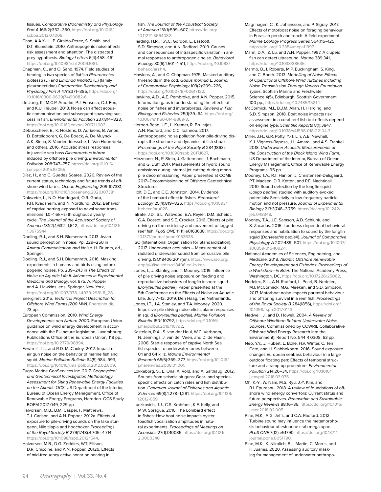tissues. *Comparative Biochemistry and Physiology Part A* 166(2):352–360, [https://doi.org/10.1016/](https://doi.org/10.1016/j.cbpa.2013.07.008) [j.cbpa.2013.07.008](https://doi.org/10.1016/j.cbpa.2013.07.008).

- Chan, A.A.Y.-H., P. Giraldo-Perez, S. Smith, and D.T. Blumstein. 2010. Anthropogenic noise affects risk assessment and attention: The distracted prey hypothesis. *Biology Letters* 6(4):458–461, [https://doi.org/10.1098/rsbl.2009.1081.](https://doi.org/10.1098/rsbl.2009.1081)
- Chapman, C., and O. Sand. 1974. Field studies of hearing in two species of flatfish *Pleuronectes platessa* (L.) and *Limanda limanda* (L.) (family pleuronectidae).*Comparative Biochemistry and Physiology Part A* 47(1):371–385, [https://doi.org/](https://doi.org/10.1016/0300-9629(74)90082-6) [10.1016/0300-9629\(74\)90082-6](https://doi.org/10.1016/0300-9629(74)90082-6).
- de Jong, K., M.C.P. Amorim, P.J. Fonseca, C.J. Fox, and K.U. Heubel. 2018. Noise can affect acoustic communication and subsequent spawning success in fish. *Environmental Pollution* 237:814–823, <https://doi.org/10.1016/j.envpol.2017.11.003>.
- Debusschere, E., K. Hostens, D. Adriaens, B. Ampe, D. Botteldooren, G. De Boeck, A. De Muynck, A.K. Sinha, S. Vandendriessche, L. Van Hoorebeke, and others. 2016. Acoustic stress responses in juvenile sea bass *Dicentrarchus labrax* induced by offshore pile driving. *Environmental Pollution* 208:747–757, [https://doi.org/10.1016/](https://doi.org/10.1016/j.envpol.2015.10.055) [j.envpol.2015.10.055](https://doi.org/10.1016/j.envpol.2015.10.055).
- Díaz, H., and C. Guedes Soares. 2020. Review of the current status, technology and future trends of offshore wind farms. *Ocean Engineering* 209:107381, <https://doi.org/10.1016/j.oceaneng.2020.107381>.
- Doksæter, L., N.O. Handegard, O.R. Godø, P.H. Kvadsheim, and N. Nordlund. 2012. Behavior of captive herring exposed to naval sonar transmissions (1.0–1.6 kHz) throughout a yearly cycle. *The Journal of the Acoustical Society of America* 131(2):1,632–1,642, [https://doi.org/10.1121/](https://doi.org/10.1121/1.3675944) [1.3675944.](https://doi.org/10.1121/1.3675944)
- Dooling, R.J., and S.H. Blumenrath. 2013. Avian sound perception in noise. Pp. 229–250 in *Animal Communication and Noise*. H. Brumm, ed., Springer.
- Dooling, R.J., and S.H. Blumenrath. 2016. Masking experiments in humans and birds using anthropogenic noises. Pp. 239–243 in *The Effects of Noise on Aquatic Life II*. *Advances in Experimental Medicine and Biology,* vol. 875. A. Popper and A. Hawkins, eds, Springer, New York, [https://doi.org/10.1007/978-1-4939-2981-8\\_28](https://doi.org/10.1007/978-1-4939-2981-8_28).
- Energinet. 2015. *Technical Project Description for Offshore Wind Farms (200 MW)*. [Energinet.dk,](http://Energinet.dk) 73 pp.
- European Commission. 2010. *Wind Energy Developments and Natura 2000*. European Union guidance on wind energy development in accordance with the EU nature legislation, Luxembourg: Publications Office of the European Union*,* 118 pp., [https://doi.org/10.2779/98894.](https://doi.org/10.2779/98894)
- Fewtrell, J.L., and R.D. McCauley. 2012. Impact of air gun noise on the behavior of marine fish and squid. *Marine Pollution Bulletin* 64(5):984–993, [https://doi.org/10.1016/j.marpolbul.2012.02.009.](https://doi.org/10.1016/j.marpolbul.2012.02.009)
- Fugro Marine GeoServices Inc. 2017. *Geophysical and Geotechnical Investigation Methodology Assessment for Siting Renewable Energy Facilities on the Atlantic OCS*. US Department of the Interior, Bureau of Ocean Energy Management, Office of Renewable Energy Programs, Herndon*.* OCS Study BOEM 2017-049, 229 pp.
- Halvorsen, M.B., B.M. Casper, F. Matthews, T.J. Carlson, and A.N. Popper. 2012a. Effects of exposure to pile-driving sounds on the lake sturgeon, Nile tilapia and hogchoker. *Proceedings of the Royal Society B* 279(1748):4,705–4,714, [https://doi.org/10.1098/rspb.2012.1544.](https://doi.org/10.1098/rspb.2012.1544)
- Halvorsen, M.B., D.G. Zeddies, W.T. Ellison, D.R. Chicoine, and A.N. Popper. 2012b. Effects of mid-frequency active sonar on hearing in

fish. *The Journal of the Acoustical Society of America* 131(1):599–607, [https://doi.org/](https://doi.org/10.1121/1.3664082) [10.1121/1.3664082](https://doi.org/10.1121/1.3664082).

- Harding, H.R., T.A.C. Gordon, E. Eastcott, S.D. Simpson, and A.N. Radford. 2019. Causes and consequences of intraspecific variation in animal responses to anthropogenic noise. *Behavioral Ecology* 30(6):1,501–1,511, [https://doi.org/10.1093/](https://doi.org/10.1093/beheco/arz114) [beheco/arz114](https://doi.org/10.1093/beheco/arz114).
- Hawkins, A., and C. Chapman. 1975. Masked auditory thresholds in the cod, *Gadus morhua* L. *Journal of Comparative Physiology* 103(2):209–226, <https://doi.org/10.1007/BF00617122>.
- Hawkins, A.D., A.E. Pembroke, and A.N. Popper. 2015. Information gaps in understanding the effects of noise on fishes and invertebrates. *Reviews in Fish Biology and Fisheries* 25(1):39–64, [https://doi.org/](https://doi.org/10.1007/s11160-014-9369-3) [10.1007/s11160-014-9369-3.](https://doi.org/10.1007/s11160-014-9369-3)
- Herbert-Read, J.E., L. Kremer, R. Bruintjes, A.N. Radford, and C.C. Ioannou. 2017. Anthropogenic noise pollution from pile-driving disrupts the structure and dynamics of fish shoals. *Proceedings of the Royal Society B* 284(1863), <https://doi.org/10.1098/rspb.2017.1627>.
- Hinzmann, N., P. Stein, J. Gattermann, J. Bachmann, and G. Duff. 2017. Measurements of hydro sound emissions during internal jet cutting during monopile decommissioning. Paper presented at COME 2017–Decommissioning of Offshore Geotechnical **Structures**
- Holt, D.E., and C.E. Johnston. 2014. Evidence of the Lombard effect in fishes. *Behavioral Ecology* 25(4):819–826, [https://doi.org/10.1093/](https://doi.org/10.1093/beheco/aru028) [beheco/aru028.](https://doi.org/10.1093/beheco/aru028)
- Iafrate, J.D., S.L. Watwood, E.A. Reyier, D.M. Scheidt, G.A. Dossot, and S.E. Crocker. 2016. Effects of pile driving on the residency and movement of tagged reef fish. *PLoS ONE* 11(11):e0163638, [https://doi.org/](https://doi.org/10.1371/journal.pone.0163638) [10.1371/journal.pone.0163638](https://doi.org/10.1371/journal.pone.0163638).
- ISO (International Organization for Standardization). 2017. Underwater acoustics – Measurement of radiated underwater sound from percussive pile driving. ISO18406:2017(en), [https://www.iso.org/](https://www.iso.org/obp/ui/#iso:std:iso:18406:ed-1:v1:en) [obp/ui/#iso:std:iso:18406:ed-1:v1:en](https://www.iso.org/obp/ui/#iso:std:iso:18406:ed-1:v1:en).
- Jones, I., J. Stanley, and T. Mooney. 2019. Influence of pile driving noise exposure on feeding and reproductive behaviors of longfin inshore squid (*Doryteuthis pealeii*). Paper presented at the 5th Conference on the Effects of Noise on Aquatic Life, July 7–12, 2019, Den Haag, the Netherlands.
- Jones, I.T., J.A. Stanley, and T.A. Mooney. 2020. Impulsive pile driving noise elicits alarm responses in squid (*Doryteuthis pealeii*). *Marine Pollution Bulletin* 150:110792, [https://doi.org/10.1016/](https://doi.org/10.1016/j.marpolbul.2019.110792) [j.marpolbul.2019.110792](https://doi.org/10.1016/j.marpolbul.2019.110792).
- Kastelein, R.A., S. van der Heul, W.C. Verboom, N. Jennings, J. van der Veen, and D. de Haan. 2008. Startle response of captive North Sea fish species to underwater tones between 0.1 and 64 kHz. *Marine Environmental Research* 65(5):369–377, [https://doi.org/10.1016/](https://doi.org/10.1016/j.marenvres.2008.01.001) [j.marenvres.2008.01.001](https://doi.org/10.1016/j.marenvres.2008.01.001).
- Løkkeborg, S., E. Ona, A. Vold, and A. Salthaug. 2012. Sounds from seismic air guns: Gear- and speciesspecific effects on catch rates and fish distribution. *Canadian Journal of Fisheries and Aquatic Sciences* 69(8):1,278–1,291, [https://doi.org/10.1139/](https://doi.org/10.1139/f2012-059) [f2012-059](https://doi.org/10.1139/f2012-059).
- Luczkovich, J.J., C.S. Krahforst, K.E. Kelly, and M.W. Sprague. 2016. The Lombard effect in fishes: How boat noise impacts oyster toadfish vocalization amplitudes in natural experiments. *Proceedings of Meetings on Acoustics* 27(1):010035, [https://doi.org/10.1121/](https://doi.org/10.1121/2.0000340) [2.0000340.](https://doi.org/10.1121/2.0000340)
- Magnhagen, C., K. Johansson, and P. Sigray. 2017. Effects of motorboat noise on foraging behaviour in Eurasian perch and roach: A field experiment. *Marine Ecology Progress Series* 564:115–125, <https://doi.org/10.3354/meps11997>.
- Mann, D.A., Z. Lu, and A.N. Popper. 1997. A clupeid fish can detect ultrasound. *Nature* 389:341, [https://doi.org/10.1038/38636.](https://doi.org/10.1038/38636)
- Marmo, B., I. Roberts, M.P. Buckingham, S. King, and C. Booth. 2013. *Modelling of Noise Effects of Operational Offshore Wind Turbines Including Noise Transmission Through Various Foundation Types*. Scottish Marine and Freshwater Science 4(5), Edinburgh, Scottish Government, 100 pp., [https://doi.org/10.7489/1521-1.](https://doi.org/10.7489/1521-1)
- McCormick, M.I., B.J.M. Allan, H. Harding, and S.D. Simpson. 2018. Boat noise impacts risk assessment in a coral reef fish but effects depend on engine type. *Scientific Reports* 8(1):3847, <https://doi.org/10.1038/s41598-018-22104-3>.
- Miller, J.H., G.R. Potty, Y.-T. Lin, A.E. Newhall, K.J. Vigness-Raposa, J.L. Amaral, and A.S. Frankel. 2018. *Underwater Acoustic Measurements of the Construction of the Block Island Wind Farm*. US Department of the Interior, Bureau of Ocean Energy Management, Office of Renewable Energy Programs, 95 pp.
- Mooney, T.A., R.T. Hanlon, J. Christensen-Dalsgaard, P.T. Madsen, D.R. Ketten, and P.E. Nachtigall. 2010. Sound detection by the longfin squid (*Loligo pealeii*) studied with auditory evoked potentials: Sensitivity to low-frequency particle motion and not pressure. *Journal of Experimental Biology* 213:3,748–3,759, [https://doi.org/10.1242/](https://doi.org/10.1242/jeb.048348) [jeb.048348.](https://doi.org/10.1242/jeb.048348)
- Mooney, T.A., J.E. Samson, A.D. Schlunk, and S. Zacarias. 2016. Loudness-dependent behavioral responses and habituation to sound by the longfin squid (*Doryteuthis pealeii*). *Journal of Comparative Physiology A* 202:489–501, [https://doi.org/10.1007/](https://doi.org/10.1007/s00359-016-1092-1) [s00359-016-1092-1](https://doi.org/10.1007/s00359-016-1092-1).
- National Academies of Sciences, Engineering, and Medicine. 2018. *Atlantic Offshore Renewable Energy Development and Fisheries: Proceedings of a Workshop—in Brief*. The National Academy Press, Washington, DC, [https://doi.org/10.17226/25062.](https://doi.org/10.17226/25062)
- Nedelec, S.L., A.N. Radford, L. Pearl, B. Nedelec, M.I. McCormick, M.G. Meekan, and S.D. Simpson. 2017. Motorboat noise impacts parental behaviour and offspring survival in a reef fish. *Proceedings of the Royal Society B* 284(1856), [https://doi.org/](https://doi.org/10.1098/rspb.2017.0143) [10.1098/rspb.2017.0143.](https://doi.org/10.1098/rspb.2017.0143)
- Nedwell, J., and D. Howell. 2004. *A Review of Offshore Windfarm Related Underwater Noise Sources*. Commissioned by COWRIE Collaborative Offshore Wind Energy Research into the Environment), Report No. 544 R 0308, 63 pp.
- Neo, Y.Y., J. Hubert, L. Bolle, H.V. Winter, C. Ten Cate, and H. Slabbekoorn. 2016. Sound exposure changes European seabass behaviour in a large outdoor floating pen: Effects of temporal structure and a ramp-up procedure. *Environmental Pollution* 214:26–34, [https://doi.org/10.1016/](https://doi.org/10.1016/j.envpol.2016.03.075) [j.envpol.2016.03.075](https://doi.org/10.1016/j.envpol.2016.03.075).
- Oh, K.-Y., W. Nam, M.S. Ryu, J.-Y. Kim, and B.I. Epureanu. 2018. A review of foundations of offshore wind energy convertors: Current status and future perspectives. *Renewable and Sustainable Energy Reviews* 88:16–36, [https://doi.org/10.1016/](https://doi.org/10.1016/j.rser.2018.02.005) [j.rser.2018.02.005.](https://doi.org/10.1016/j.rser.2018.02.005)
- Pine, M.K., A.G. Jeffs, and C.A. Radford. 2012. Turbine sound may influence the metamorphosis behaviour of estuarine crab megalopae. *PLoS ONE* 7(12):e51790, [https://doi.org/10.1371/](https://doi.org/10.1371/journal.pone.0051790) [journal.pone.0051790](https://doi.org/10.1371/journal.pone.0051790).
- Pine, M.K., K. Nikolich, B.J. Martin, C. Morris, and F. Juanes. 2020. Assessing auditory masking for management of underwater anthropo-